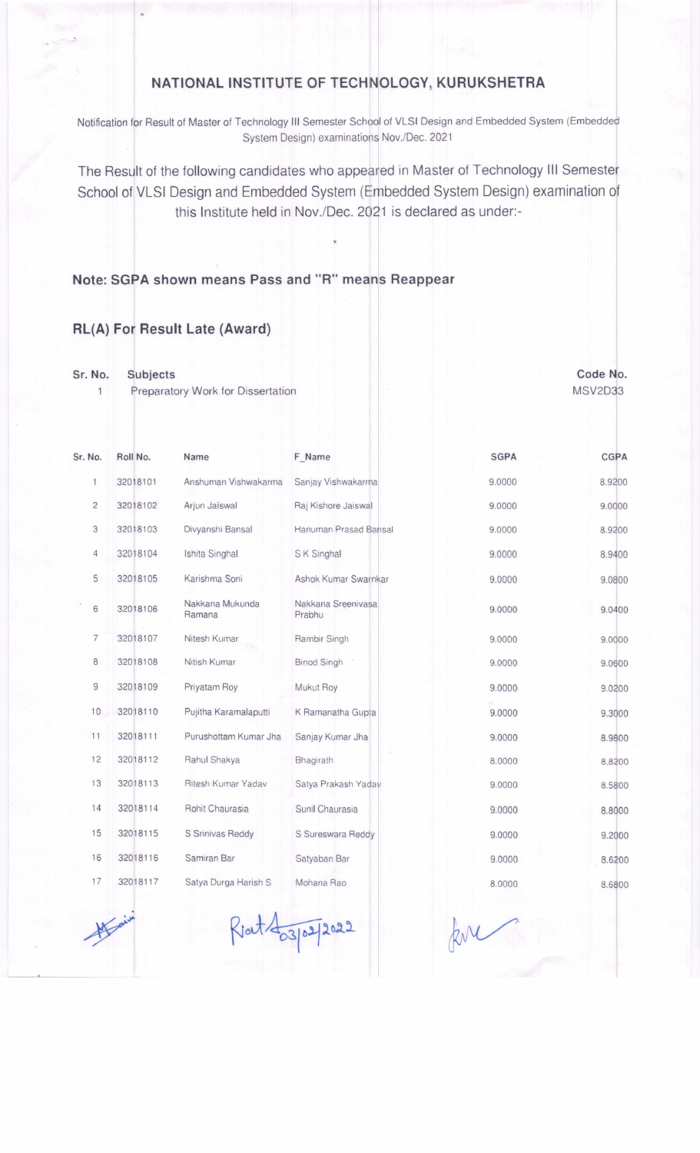## NATIONAL INSTITUTE OF TECHNOLOGY, KURUKSHETRA

Notification for Result of Master of Technology III Semester School of VLSI Design and Embedded System (Em System Design) examinations Nov./Dec. 2021

The Result of the following candidates who appeared in Master of Technology III Semester School of VLSI Design and Embedded System (Embedded System Design) examination of this Institute held in Nov./Dec. 2021 is declared as under:-

## A shown means Pass and "R" means Reappear

## RL(A) For Result Late (Award)

Sr. No. Subjects

 $\mathbf{1}$ 

Preparatory Work for Dissertation

| Sr. No. |                | Roll No. | Name                      | F Name                       | <b>SGPA</b> | <b>CGPA</b> |
|---------|----------------|----------|---------------------------|------------------------------|-------------|-------------|
|         | $\mathbf{1}$   | 32018101 | Anshuman Vishwakarma      | Sanjay Vishwakarma           | 9.0000      | 8.9200      |
|         | $\overline{c}$ | 32018102 | Arjun Jaiswal             | Raj Kishore Jaiswal          | 9.0000      | 9.0000      |
|         | 3              | 32018103 | Divyanshi Bansal          | Hanuman Prasad Bansal        | 9.0000      | 8.9200      |
|         | 4              | 32018104 | Ishita Singhal            | S K Singhal                  | 9.0000      | 8.9400      |
|         | 5              | 32018105 | Karishma Soni             | Ashok Kumar Swarnkar         | 9.0000      | 9.0800      |
|         | 6              | 32018106 | Nakkana Mukunda<br>Ramana | Nakkana Sreenivasa<br>Prabhu | 9.0000      | 9.0400      |
|         | 7              | 32018107 | Nitesh Kumar              | Rambir Singh                 | 9.0000      | 9.0000      |
|         | 8              | 32018108 | Nitish Kumar              | <b>Binod Singh</b>           | 9.0000      | 9.0600      |
|         | $\overline{9}$ | 32018109 | Priyatam Roy              | Mukut Roy                    | 9.0000      | 9.0200      |
|         | 10             | 32018110 | Pujitha Karamalaputti     | K Ramanatha Gupta            | 9.0000      | 9.3000      |
|         | 11             | 32018111 | Purushottam Kumar Jha     | Sanjay Kumar Jha             | 9.0000      | 8.9800      |
|         | 12             | 32018112 | Rahul Shakya              | Bhagirath                    | 8.0000      | 8.8200      |
|         | 13             | 32018113 | Ritesh Kumar Yadav        | Satya Prakash Yadav          | 9.0000      | 8.5800      |
|         | 14             | 32018114 | Rohit Chaurasia           | Sunil Chaurasia              | 9.0000      | 8.8000      |
|         | 15             | 32018115 | S Srinivas Reddy          | S Sureswara Reddy            | 9.0000      | 9.2000      |
|         | 16             | 32018116 | Samiran Bar               | Satyaban Bar                 | 9.0000      | 8.6200      |
|         | 17             | 32018117 | Satya Durga Harish S      | Mohana Rao                   | 8.0000      | 8.6800      |

Rat 403/02/2022

Code No. MSV2D33